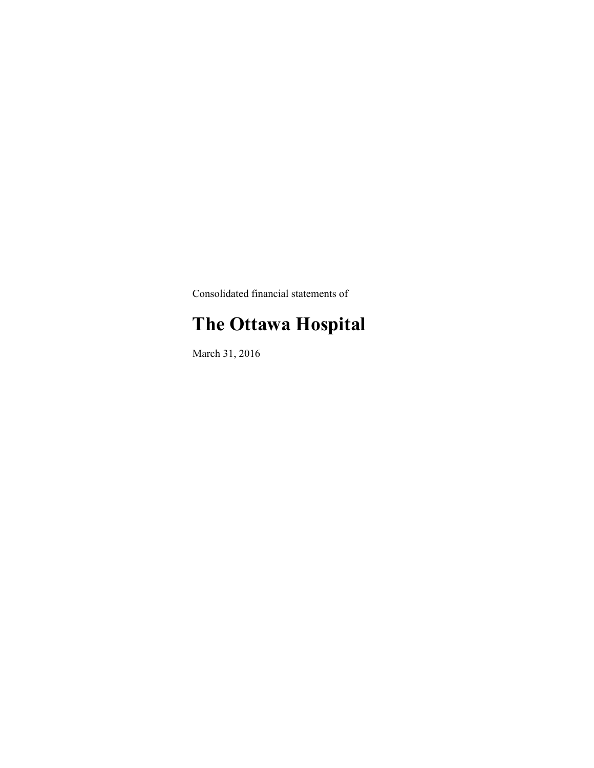Consolidated financial statements of

# **The Ottawa Hospital**

March 31, 2016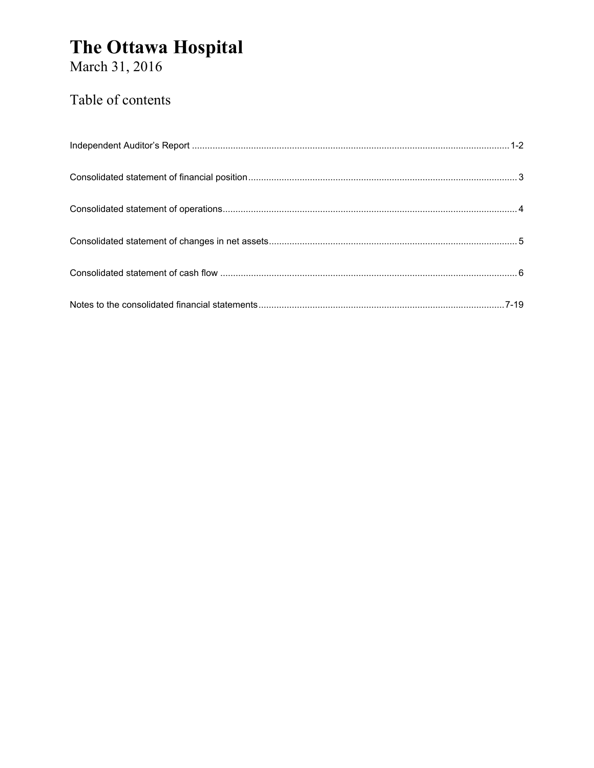# The Ottawa Hospital<br>March 31, 2016

### Table of contents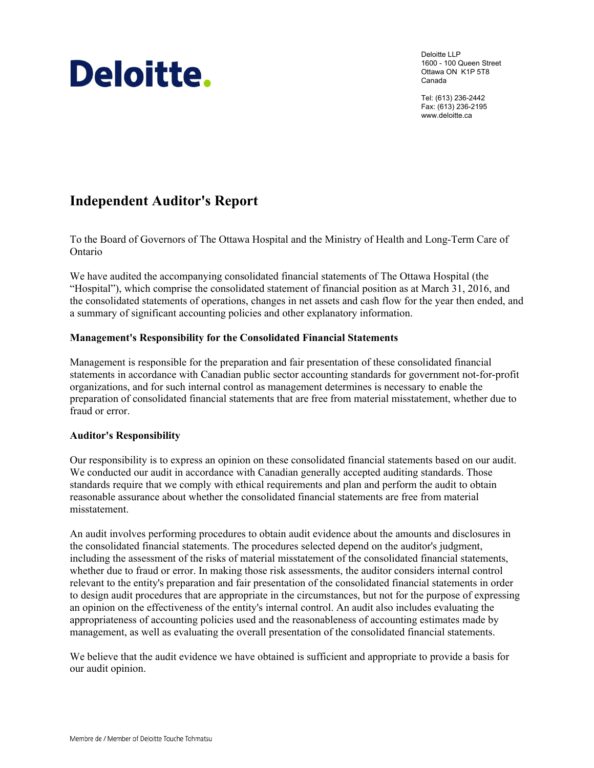# Deloitte.

Deloitte LLP 1600 - 100 Queen Street Ottawa ON K1P 5T8 Canada

Tel: (613) 236-2442 Fax: (613) 236-2195 www.deloitte.ca

### **Independent Auditor's Report**

To the Board of Governors of The Ottawa Hospital and the Ministry of Health and Long-Term Care of Ontario

We have audited the accompanying consolidated financial statements of The Ottawa Hospital (the "Hospital"), which comprise the consolidated statement of financial position as at March 31, 2016, and the consolidated statements of operations, changes in net assets and cash flow for the year then ended, and a summary of significant accounting policies and other explanatory information.

#### **Management's Responsibility for the Consolidated Financial Statements**

Management is responsible for the preparation and fair presentation of these consolidated financial statements in accordance with Canadian public sector accounting standards for government not-for-profit organizations, and for such internal control as management determines is necessary to enable the preparation of consolidated financial statements that are free from material misstatement, whether due to fraud or error.

#### **Auditor's Responsibility**

Our responsibility is to express an opinion on these consolidated financial statements based on our audit. We conducted our audit in accordance with Canadian generally accepted auditing standards. Those standards require that we comply with ethical requirements and plan and perform the audit to obtain reasonable assurance about whether the consolidated financial statements are free from material misstatement.

An audit involves performing procedures to obtain audit evidence about the amounts and disclosures in the consolidated financial statements. The procedures selected depend on the auditor's judgment, including the assessment of the risks of material misstatement of the consolidated financial statements, whether due to fraud or error. In making those risk assessments, the auditor considers internal control relevant to the entity's preparation and fair presentation of the consolidated financial statements in order to design audit procedures that are appropriate in the circumstances, but not for the purpose of expressing an opinion on the effectiveness of the entity's internal control. An audit also includes evaluating the appropriateness of accounting policies used and the reasonableness of accounting estimates made by management, as well as evaluating the overall presentation of the consolidated financial statements.

We believe that the audit evidence we have obtained is sufficient and appropriate to provide a basis for our audit opinion.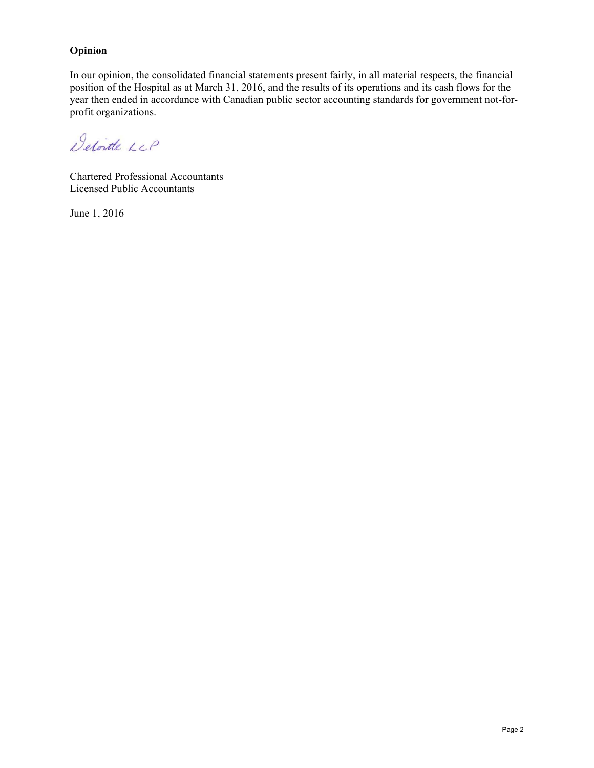#### **Opinion**

In our opinion, the consolidated financial statements present fairly, in all material respects, the financial position of the Hospital as at March 31, 2016, and the results of its operations and its cash flows for the year then ended in accordance with Canadian public sector accounting standards for government not-forprofit organizations.

Detoite LLP

Chartered Professional Accountants Licensed Public Accountants

June 1, 2016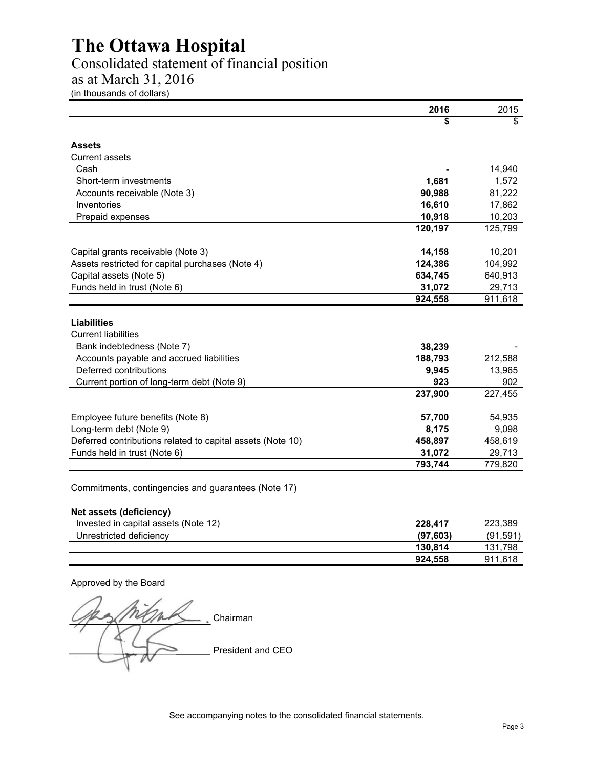# Consolidated statement of financial position

as at March 31, 2016

(in thousands of dollars)

|                                                            | 2016      | 2015      |
|------------------------------------------------------------|-----------|-----------|
|                                                            |           | \$        |
| <b>Assets</b>                                              |           |           |
| <b>Current assets</b>                                      |           |           |
| Cash                                                       |           | 14,940    |
| Short-term investments                                     | 1,681     | 1,572     |
| Accounts receivable (Note 3)                               | 90,988    | 81,222    |
| Inventories                                                | 16,610    | 17,862    |
| Prepaid expenses                                           | 10,918    | 10,203    |
|                                                            | 120,197   | 125,799   |
| Capital grants receivable (Note 3)                         | 14,158    | 10,201    |
| Assets restricted for capital purchases (Note 4)           | 124,386   | 104,992   |
| Capital assets (Note 5)                                    | 634,745   | 640,913   |
| Funds held in trust (Note 6)                               | 31,072    | 29,713    |
|                                                            | 924,558   | 911,618   |
| Liabilities<br><b>Current liabilities</b>                  |           |           |
| Bank indebtedness (Note 7)                                 | 38,239    |           |
| Accounts payable and accrued liabilities                   | 188,793   | 212,588   |
| Deferred contributions                                     | 9,945     | 13,965    |
| Current portion of long-term debt (Note 9)                 | 923       | 902       |
|                                                            | 237,900   | 227,455   |
| Employee future benefits (Note 8)                          | 57,700    | 54,935    |
| Long-term debt (Note 9)                                    | 8,175     | 9,098     |
| Deferred contributions related to capital assets (Note 10) | 458,897   | 458,619   |
| Funds held in trust (Note 6)                               | 31,072    | 29,713    |
|                                                            | 793,744   | 779,820   |
| Commitments, contingencies and guarantees (Note 17)        |           |           |
| Net assets (deficiency)                                    |           |           |
| Invested in capital assets (Note 12)                       | 228,417   | 223,389   |
| Unrestricted deficiency                                    | (97, 603) | (91, 591) |
|                                                            | 130,814   | 131,798   |
|                                                            | 924,558   | 911,618   |

Approved by the Board

rem Chairman President and CEO

See accompanying notes to the consolidated financial statements.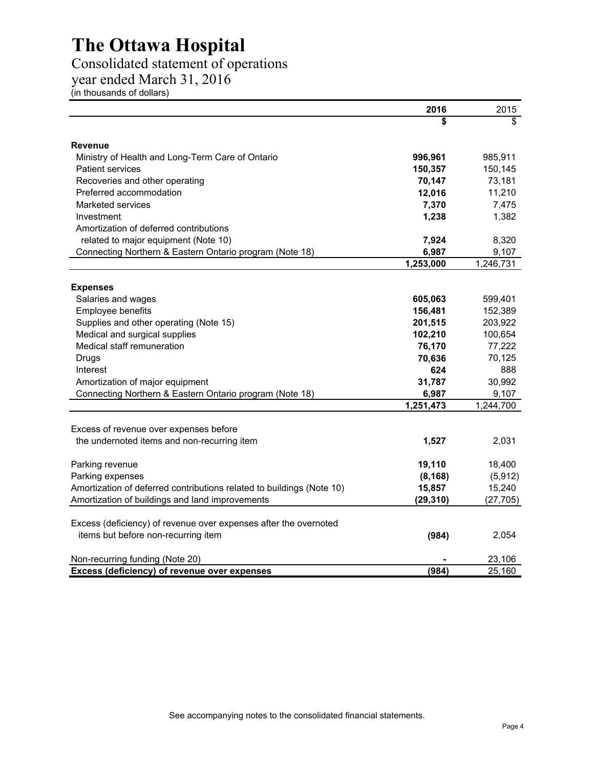### Consolidated statement of operations

year ended March 31, 2016

(in thousands of dollars)

|                                                                       | 2016                   | 2015      |
|-----------------------------------------------------------------------|------------------------|-----------|
|                                                                       |                        | \$        |
| <b>Revenue</b>                                                        |                        |           |
| Ministry of Health and Long-Term Care of Ontario                      | 996,961                | 985,911   |
| <b>Patient services</b>                                               | 150,357                | 150,145   |
| Recoveries and other operating                                        | 70,147                 | 73,181    |
| Preferred accommodation                                               | 12,016                 | 11,210    |
| Marketed services                                                     | 7,370                  | 7,475     |
| Investment                                                            | 1,238                  | 1,382     |
| Amortization of deferred contributions                                |                        |           |
| related to major equipment (Note 10)                                  | 7,924                  | 8,320     |
| Connecting Northern & Eastern Ontario program (Note 18)               | 6,987                  | 9,107     |
|                                                                       | 1,253,000              | 1,246,731 |
| <b>Expenses</b>                                                       |                        |           |
| Salaries and wages                                                    | 605,063                | 599,401   |
| Employee benefits                                                     | 156,481                | 152,389   |
| Supplies and other operating (Note 15)                                | 201,515                | 203,922   |
| Medical and surgical supplies                                         | 102,210                | 100,654   |
| Medical staff remuneration                                            | 76,170                 | 77,222    |
| Drugs                                                                 | 70,636                 | 70,125    |
| Interest                                                              | 624                    | 888       |
| Amortization of major equipment                                       | 31,787                 | 30,992    |
| Connecting Northern & Eastern Ontario program (Note 18)               | 6,987                  | 9,107     |
|                                                                       | $\overline{1,}251,473$ | 1,244,700 |
| Excess of revenue over expenses before                                |                        |           |
| the undernoted items and non-recurring item                           | 1,527                  | 2,031     |
| Parking revenue                                                       | 19,110                 | 18,400    |
| Parking expenses                                                      | (8, 168)               | (5, 912)  |
| Amortization of deferred contributions related to buildings (Note 10) | 15,857                 | 15,240    |
| Amortization of buildings and land improvements                       | (29, 310)              | (27, 705) |
| Excess (deficiency) of revenue over expenses after the overnoted      |                        |           |
| items but before non-recurring item                                   | (984)                  | 2,054     |
| Non-recurring funding (Note 20)                                       |                        | 23,106    |
| Excess (deficiency) of revenue over expenses                          | (984)                  | 25,160    |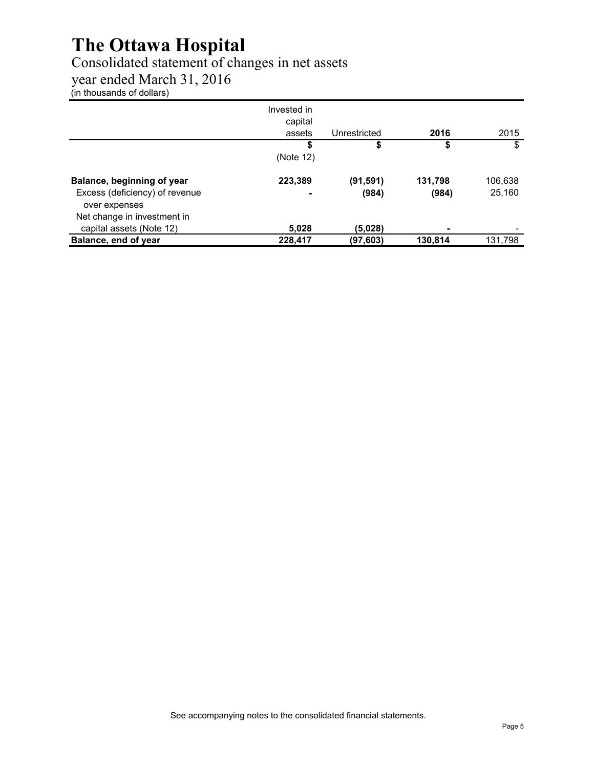### Consolidated statement of changes in net assets

year ended March 31, 2016

(in thousands of dollars)

|                                | Invested in<br>capital |              |         |         |
|--------------------------------|------------------------|--------------|---------|---------|
|                                | assets                 | Unrestricted | 2016    | 2015    |
|                                | \$                     | S            | \$      | \$      |
|                                | (Note 12)              |              |         |         |
| Balance, beginning of year     | 223,389                | (91, 591)    | 131,798 | 106,638 |
| Excess (deficiency) of revenue | ۰                      | (984)        | (984)   | 25,160  |
| over expenses                  |                        |              |         |         |
| Net change in investment in    |                        |              |         |         |
| capital assets (Note 12)       | 5,028                  | (5.028)      |         |         |
| Balance, end of year           | 228,417                | (97,603)     | 130,814 | 131,798 |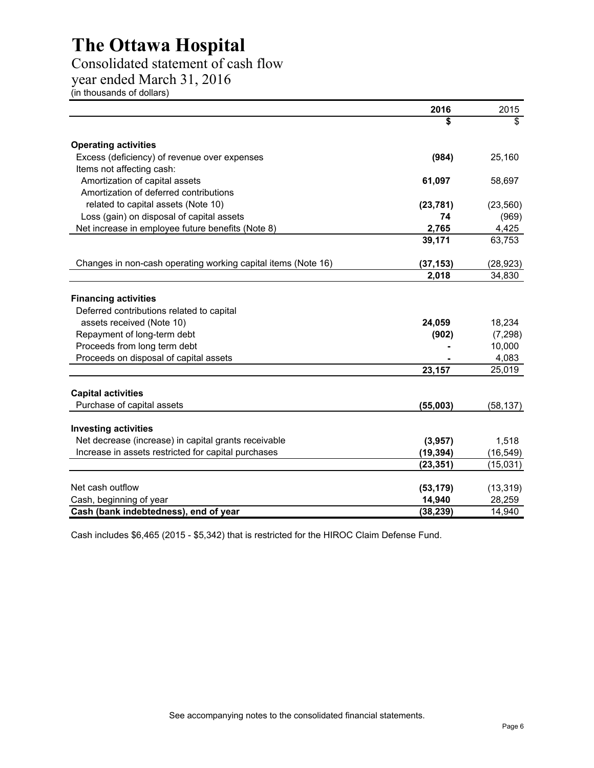### Consolidated statement of cash flow

year ended March 31, 2016

(in thousands of dollars)

|                                                                          | 2016      | 2015      |
|--------------------------------------------------------------------------|-----------|-----------|
|                                                                          |           | \$        |
| <b>Operating activities</b>                                              |           |           |
| Excess (deficiency) of revenue over expenses                             | (984)     | 25,160    |
| Items not affecting cash:                                                |           |           |
| Amortization of capital assets                                           | 61,097    | 58,697    |
| Amortization of deferred contributions                                   |           |           |
| related to capital assets (Note 10)                                      | (23, 781) | (23, 560) |
| Loss (gain) on disposal of capital assets                                | 74        | (969)     |
| Net increase in employee future benefits (Note 8)                        | 2,765     | 4,425     |
|                                                                          | 39,171    | 63,753    |
| Changes in non-cash operating working capital items (Note 16)            | (37, 153) | (28, 923) |
|                                                                          | 2,018     | 34,830    |
| <b>Financing activities</b><br>Deferred contributions related to capital |           |           |
| assets received (Note 10)                                                | 24,059    | 18,234    |
| Repayment of long-term debt                                              | (902)     | (7, 298)  |
| Proceeds from long term debt                                             |           | 10,000    |
| Proceeds on disposal of capital assets                                   |           | 4,083     |
|                                                                          | 23,157    | 25,019    |
| <b>Capital activities</b>                                                |           |           |
| Purchase of capital assets                                               | (55,003)  | (58, 137) |
| <b>Investing activities</b>                                              |           |           |
| Net decrease (increase) in capital grants receivable                     | (3,957)   | 1,518     |
| Increase in assets restricted for capital purchases                      | (19, 394) | (16, 549) |
|                                                                          | (23, 351) | (15,031)  |
| Net cash outflow                                                         | (53, 179) | (13, 319) |
| Cash, beginning of year                                                  | 14,940    | 28,259    |
| Cash (bank indebtedness), end of year                                    | (38, 239) | 14,940    |

Cash includes \$6,465 (2015 - \$5,342) that is restricted for the HIROC Claim Defense Fund.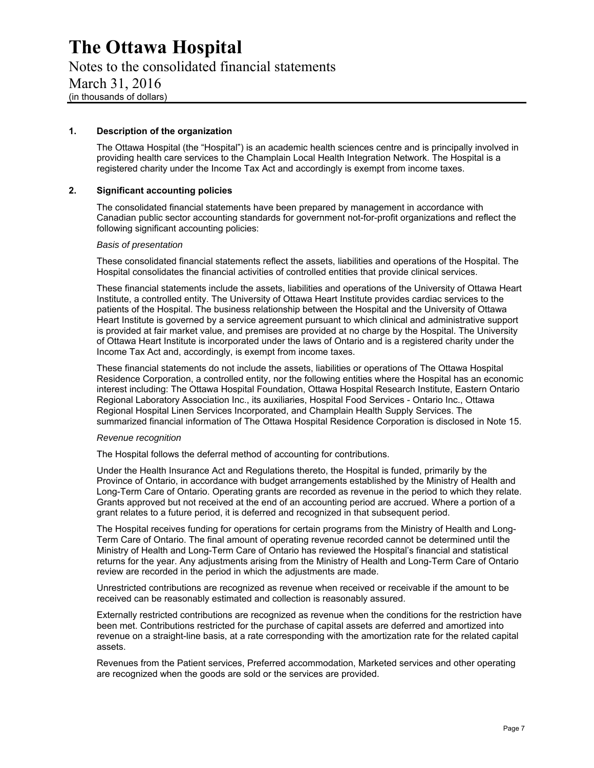Notes to the consolidated financial statements March 31, 2016 (in thousands of dollars)

#### **1. Description of the organization**

The Ottawa Hospital (the "Hospital") is an academic health sciences centre and is principally involved in providing health care services to the Champlain Local Health Integration Network. The Hospital is a registered charity under the Income Tax Act and accordingly is exempt from income taxes.

#### **2. Significant accounting policies**

The consolidated financial statements have been prepared by management in accordance with Canadian public sector accounting standards for government not-for-profit organizations and reflect the following significant accounting policies:

#### *Basis of presentation*

These consolidated financial statements reflect the assets, liabilities and operations of the Hospital. The Hospital consolidates the financial activities of controlled entities that provide clinical services.

These financial statements include the assets, liabilities and operations of the University of Ottawa Heart Institute, a controlled entity. The University of Ottawa Heart Institute provides cardiac services to the patients of the Hospital. The business relationship between the Hospital and the University of Ottawa Heart Institute is governed by a service agreement pursuant to which clinical and administrative support is provided at fair market value, and premises are provided at no charge by the Hospital. The University of Ottawa Heart Institute is incorporated under the laws of Ontario and is a registered charity under the Income Tax Act and, accordingly, is exempt from income taxes.

These financial statements do not include the assets, liabilities or operations of The Ottawa Hospital Residence Corporation, a controlled entity, nor the following entities where the Hospital has an economic interest including: The Ottawa Hospital Foundation, Ottawa Hospital Research Institute, Eastern Ontario Regional Laboratory Association Inc., its auxiliaries, Hospital Food Services - Ontario Inc., Ottawa Regional Hospital Linen Services Incorporated, and Champlain Health Supply Services. The summarized financial information of The Ottawa Hospital Residence Corporation is disclosed in Note 15.

#### *Revenue recognition*

The Hospital follows the deferral method of accounting for contributions.

Under the Health Insurance Act and Regulations thereto, the Hospital is funded, primarily by the Province of Ontario, in accordance with budget arrangements established by the Ministry of Health and Long-Term Care of Ontario. Operating grants are recorded as revenue in the period to which they relate. Grants approved but not received at the end of an accounting period are accrued. Where a portion of a grant relates to a future period, it is deferred and recognized in that subsequent period.

The Hospital receives funding for operations for certain programs from the Ministry of Health and Long-Term Care of Ontario. The final amount of operating revenue recorded cannot be determined until the Ministry of Health and Long-Term Care of Ontario has reviewed the Hospital's financial and statistical returns for the year. Any adjustments arising from the Ministry of Health and Long-Term Care of Ontario review are recorded in the period in which the adjustments are made.

Unrestricted contributions are recognized as revenue when received or receivable if the amount to be received can be reasonably estimated and collection is reasonably assured.

Externally restricted contributions are recognized as revenue when the conditions for the restriction have been met. Contributions restricted for the purchase of capital assets are deferred and amortized into revenue on a straight-line basis, at a rate corresponding with the amortization rate for the related capital assets.

Revenues from the Patient services, Preferred accommodation, Marketed services and other operating are recognized when the goods are sold or the services are provided.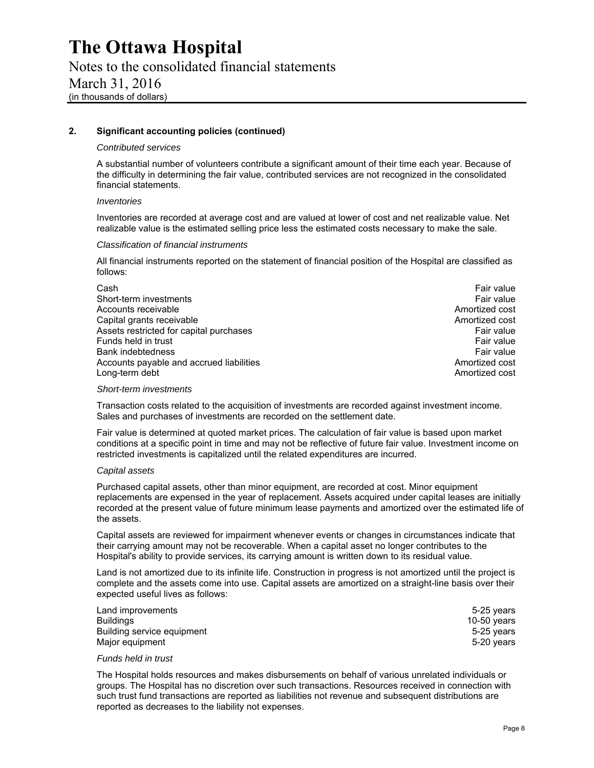Notes to the consolidated financial statements March 31, 2016 (in thousands of dollars)

#### **2. Significant accounting policies (continued)**

#### *Contributed services*

A substantial number of volunteers contribute a significant amount of their time each year. Because of the difficulty in determining the fair value, contributed services are not recognized in the consolidated financial statements.

#### *Inventories*

Inventories are recorded at average cost and are valued at lower of cost and net realizable value. Net realizable value is the estimated selling price less the estimated costs necessary to make the sale.

#### *Classification of financial instruments*

All financial instruments reported on the statement of financial position of the Hospital are classified as follows:

| Cash                                     | Fair value     |
|------------------------------------------|----------------|
| Short-term investments                   | Fair value     |
| Accounts receivable                      | Amortized cost |
| Capital grants receivable                | Amortized cost |
| Assets restricted for capital purchases  | Fair value     |
| Funds held in trust                      | Fair value     |
| <b>Bank indebtedness</b>                 | Fair value     |
| Accounts payable and accrued liabilities | Amortized cost |
| Long-term debt                           | Amortized cost |

#### *Short-term investments*

Transaction costs related to the acquisition of investments are recorded against investment income. Sales and purchases of investments are recorded on the settlement date.

Fair value is determined at quoted market prices. The calculation of fair value is based upon market conditions at a specific point in time and may not be reflective of future fair value. Investment income on restricted investments is capitalized until the related expenditures are incurred.

#### *Capital assets*

Purchased capital assets, other than minor equipment, are recorded at cost. Minor equipment replacements are expensed in the year of replacement. Assets acquired under capital leases are initially recorded at the present value of future minimum lease payments and amortized over the estimated life of the assets.

Capital assets are reviewed for impairment whenever events or changes in circumstances indicate that their carrying amount may not be recoverable. When a capital asset no longer contributes to the Hospital's ability to provide services, its carrying amount is written down to its residual value.

Land is not amortized due to its infinite life. Construction in progress is not amortized until the project is complete and the assets come into use. Capital assets are amortized on a straight-line basis over their expected useful lives as follows:

| Land improvements          | 5-25 years  |
|----------------------------|-------------|
| <b>Buildings</b>           | 10-50 vears |
| Building service equipment | 5-25 years  |
| Major equipment            | 5-20 vears  |

#### *Funds held in trust*

The Hospital holds resources and makes disbursements on behalf of various unrelated individuals or groups. The Hospital has no discretion over such transactions. Resources received in connection with such trust fund transactions are reported as liabilities not revenue and subsequent distributions are reported as decreases to the liability not expenses.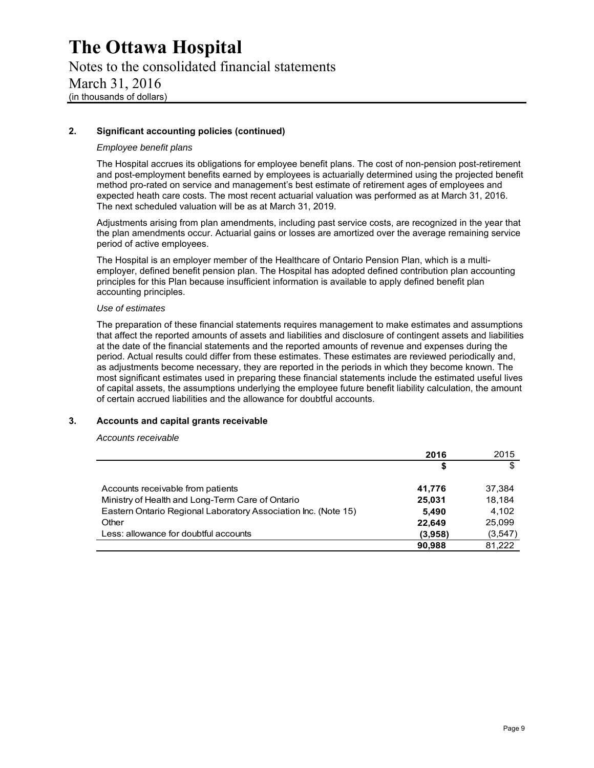Notes to the consolidated financial statements March 31, 2016 (in thousands of dollars)

#### **2. Significant accounting policies (continued)**

#### *Employee benefit plans*

The Hospital accrues its obligations for employee benefit plans. The cost of non-pension post-retirement and post-employment benefits earned by employees is actuarially determined using the projected benefit method pro-rated on service and management's best estimate of retirement ages of employees and expected heath care costs. The most recent actuarial valuation was performed as at March 31, 2016. The next scheduled valuation will be as at March 31, 2019.

Adjustments arising from plan amendments, including past service costs, are recognized in the year that the plan amendments occur. Actuarial gains or losses are amortized over the average remaining service period of active employees.

The Hospital is an employer member of the Healthcare of Ontario Pension Plan, which is a multiemployer, defined benefit pension plan. The Hospital has adopted defined contribution plan accounting principles for this Plan because insufficient information is available to apply defined benefit plan accounting principles.

#### *Use of estimates*

The preparation of these financial statements requires management to make estimates and assumptions that affect the reported amounts of assets and liabilities and disclosure of contingent assets and liabilities at the date of the financial statements and the reported amounts of revenue and expenses during the period. Actual results could differ from these estimates. These estimates are reviewed periodically and, as adjustments become necessary, they are reported in the periods in which they become known. The most significant estimates used in preparing these financial statements include the estimated useful lives of capital assets, the assumptions underlying the employee future benefit liability calculation, the amount of certain accrued liabilities and the allowance for doubtful accounts.

#### **3. Accounts and capital grants receivable**

*Accounts receivable* 

|                                                                | 2016    | 2015    |
|----------------------------------------------------------------|---------|---------|
|                                                                | \$      | S       |
| Accounts receivable from patients                              | 41.776  | 37.384  |
| Ministry of Health and Long-Term Care of Ontario               | 25,031  | 18.184  |
| Eastern Ontario Regional Laboratory Association Inc. (Note 15) | 5,490   | 4.102   |
| Other                                                          | 22.649  | 25.099  |
| Less: allowance for doubtful accounts                          | (3,958) | (3,547) |
|                                                                | 90.988  | 81,222  |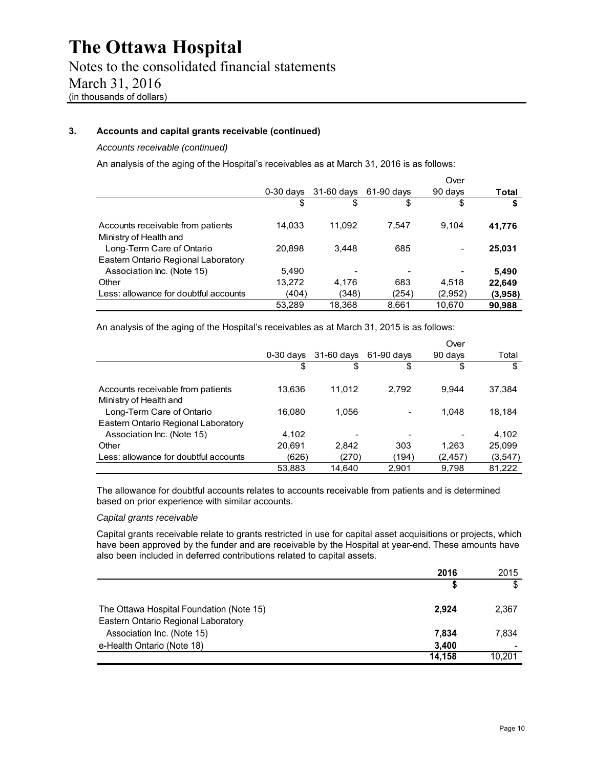Notes to the consolidated financial statements March 31, 2016 (in thousands of dollars)

#### **3. Accounts and capital grants receivable (continued)**

*Accounts receivable (continued)* 

An analysis of the aging of the Hospital's receivables as at March 31, 2016 is as follows:

|                                                             |             |            |            | Over    |         |
|-------------------------------------------------------------|-------------|------------|------------|---------|---------|
|                                                             | $0-30$ days | 31-60 days | 61-90 days | 90 days | Total   |
|                                                             | \$          | \$         | \$         | \$      | \$      |
| Accounts receivable from patients<br>Ministry of Health and | 14,033      | 11.092     | 7.547      | 9.104   | 41,776  |
| Long-Term Care of Ontario                                   | 20.898      | 3.448      | 685        | -       | 25,031  |
| Eastern Ontario Regional Laboratory                         |             |            |            |         |         |
| Association Inc. (Note 15)                                  | 5.490       |            |            |         | 5,490   |
| Other                                                       | 13,272      | 4.176      | 683        | 4.518   | 22,649  |
| Less: allowance for doubtful accounts                       | (404)       | (348)      | (254)      | (2,952) | (3,958) |
|                                                             | 53,289      | 18,368     | 8.661      | 10.670  | 90,988  |

An analysis of the aging of the Hospital's receivables as at March 31, 2015 is as follows:

|                                       |             |              |            | Over     |         |
|---------------------------------------|-------------|--------------|------------|----------|---------|
|                                       | $0-30$ days | $31-60$ days | 61-90 days | 90 days  | Total   |
|                                       | \$          | \$           | \$         | \$       | \$      |
| Accounts receivable from patients     | 13,636      | 11.012       | 2.792      | 9.944    | 37,384  |
| Ministry of Health and                |             |              |            |          |         |
| Long-Term Care of Ontario             | 16.080      | 1,056        |            | 1.048    | 18.184  |
| Eastern Ontario Regional Laboratory   |             |              |            |          |         |
| Association Inc. (Note 15)            | 4.102       |              |            |          | 4,102   |
| Other                                 | 20.691      | 2,842        | 303        | 1.263    | 25,099  |
| Less: allowance for doubtful accounts | (626)       | (270)        | (194)      | (2, 457) | (3,547) |
|                                       | 53,883      | 14.640       | 2.901      | 9,798    | 81.222  |

The allowance for doubtful accounts relates to accounts receivable from patients and is determined based on prior experience with similar accounts.

#### *Capital grants receivable*

Capital grants receivable relate to grants restricted in use for capital asset acquisitions or projects, which have been approved by the funder and are receivable by the Hospital at year-end. These amounts have also been included in deferred contributions related to capital assets.

|                                                                                 | 2016   | 2015   |
|---------------------------------------------------------------------------------|--------|--------|
|                                                                                 |        | \$     |
| The Ottawa Hospital Foundation (Note 15)<br>Eastern Ontario Regional Laboratory | 2.924  | 2.367  |
| Association Inc. (Note 15)                                                      | 7.834  | 7,834  |
| e-Health Ontario (Note 18)                                                      | 3,400  |        |
|                                                                                 | 14.158 | 10.201 |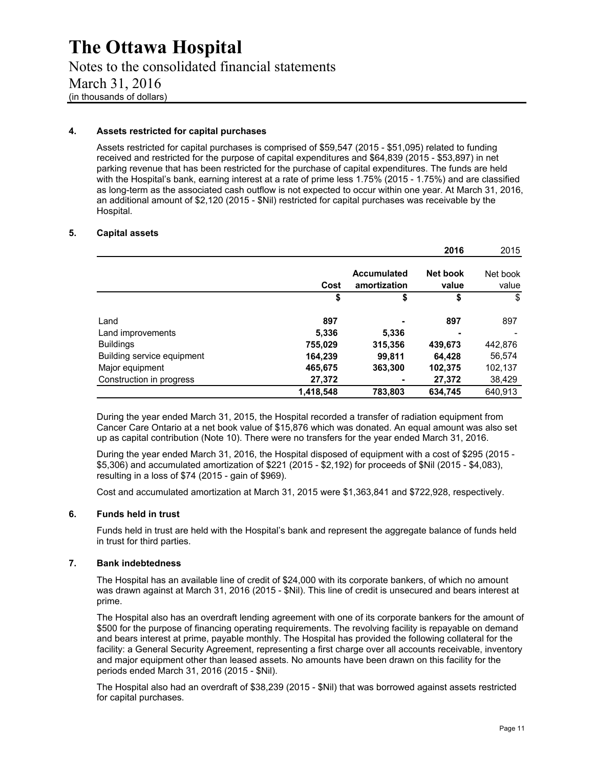Notes to the consolidated financial statements March 31, 2016 (in thousands of dollars)

#### **4. Assets restricted for capital purchases**

Assets restricted for capital purchases is comprised of \$59,547 (2015 - \$51,095) related to funding received and restricted for the purpose of capital expenditures and \$64,839 (2015 - \$53,897) in net parking revenue that has been restricted for the purchase of capital expenditures. The funds are held with the Hospital's bank, earning interest at a rate of prime less 1.75% (2015 - 1.75%) and are classified as long-term as the associated cash outflow is not expected to occur within one year. At March 31, 2016, an additional amount of \$2,120 (2015 - \$Nil) restricted for capital purchases was receivable by the Hospital.

#### **5. Capital assets**

|                            |           |                             | 2016              | 2015              |
|----------------------------|-----------|-----------------------------|-------------------|-------------------|
|                            | Cost      | Accumulated<br>amortization | Net book<br>value | Net book<br>value |
|                            | \$        | \$                          | \$                | \$                |
| Land                       | 897       |                             | 897               | 897               |
| Land improvements          | 5,336     | 5,336                       |                   |                   |
| <b>Buildings</b>           | 755,029   | 315,356                     | 439,673           | 442,876           |
| Building service equipment | 164,239   | 99,811                      | 64,428            | 56,574            |
| Major equipment            | 465,675   | 363,300                     | 102,375           | 102,137           |
| Construction in progress   | 27,372    |                             | 27,372            | 38,429            |
|                            | 1,418,548 | 783.803                     | 634,745           | 640,913           |

During the year ended March 31, 2015, the Hospital recorded a transfer of radiation equipment from Cancer Care Ontario at a net book value of \$15,876 which was donated. An equal amount was also set up as capital contribution (Note 10). There were no transfers for the year ended March 31, 2016.

During the year ended March 31, 2016, the Hospital disposed of equipment with a cost of \$295 (2015 - \$5,306) and accumulated amortization of \$221 (2015 - \$2,192) for proceeds of \$Nil (2015 - \$4,083), resulting in a loss of \$74 (2015 - gain of \$969).

Cost and accumulated amortization at March 31, 2015 were \$1,363,841 and \$722,928, respectively.

#### **6. Funds held in trust**

Funds held in trust are held with the Hospital's bank and represent the aggregate balance of funds held in trust for third parties.

#### **7. Bank indebtedness**

The Hospital has an available line of credit of \$24,000 with its corporate bankers, of which no amount was drawn against at March 31, 2016 (2015 - \$Nil). This line of credit is unsecured and bears interest at prime.

The Hospital also has an overdraft lending agreement with one of its corporate bankers for the amount of \$500 for the purpose of financing operating requirements. The revolving facility is repayable on demand and bears interest at prime, payable monthly. The Hospital has provided the following collateral for the facility: a General Security Agreement, representing a first charge over all accounts receivable, inventory and major equipment other than leased assets. No amounts have been drawn on this facility for the periods ended March 31, 2016 (2015 - \$Nil).

The Hospital also had an overdraft of \$38,239 (2015 - \$Nil) that was borrowed against assets restricted for capital purchases.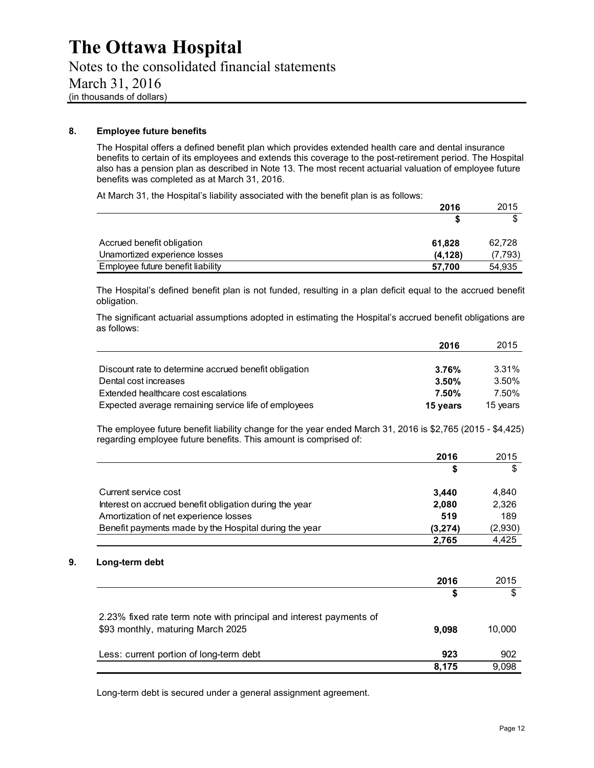Notes to the consolidated financial statements March 31, 2016 (in thousands of dollars)

#### **8. Employee future benefits**

The Hospital offers a defined benefit plan which provides extended health care and dental insurance benefits to certain of its employees and extends this coverage to the post-retirement period. The Hospital also has a pension plan as described in Note 13. The most recent actuarial valuation of employee future benefits was completed as at March 31, 2016.

At March 31, the Hospital's liability associated with the benefit plan is as follows:

|                                   | 2016    | 2015    |
|-----------------------------------|---------|---------|
|                                   |         |         |
| Accrued benefit obligation        | 61.828  | 62.728  |
| Unamortized experience losses     | (4.128) | (7,793) |
| Employee future benefit liability | 57.700  | 54.935  |

The Hospital's defined benefit plan is not funded, resulting in a plan deficit equal to the accrued benefit obligation.

The significant actuarial assumptions adopted in estimating the Hospital's accrued benefit obligations are as follows:

|                                                       | 2016     | 2015     |
|-------------------------------------------------------|----------|----------|
|                                                       |          |          |
| Discount rate to determine accrued benefit obligation | 3.76%    | 3.31%    |
| Dental cost increases                                 | 3.50%    | 3.50%    |
| Extended healthcare cost escalations                  | 7.50%    | 7.50%    |
| Expected average remaining service life of employees  | 15 years | 15 years |

The employee future benefit liability change for the year ended March 31, 2016 is \$2,765 (2015 - \$4,425) regarding employee future benefits. This amount is comprised of:

|                                                        | 2016    | 2015    |
|--------------------------------------------------------|---------|---------|
|                                                        |         | \$      |
| Current service cost                                   | 3.440   | 4,840   |
| Interest on accrued benefit obligation during the year | 2,080   | 2,326   |
| Amortization of net experience losses                  | 519     | 189     |
| Benefit payments made by the Hospital during the year  | (3,274) | (2,930) |
|                                                        | 2.765   | 4.425   |

#### **9. Long-term debt**

|                                                                                                         | 2016  | 2015   |
|---------------------------------------------------------------------------------------------------------|-------|--------|
|                                                                                                         | S     |        |
| 2.23% fixed rate term note with principal and interest payments of<br>\$93 monthly, maturing March 2025 | 9.098 | 10.000 |
| Less: current portion of long-term debt                                                                 | 923   | 902    |
|                                                                                                         | 8.175 | 9,098  |

Long-term debt is secured under a general assignment agreement.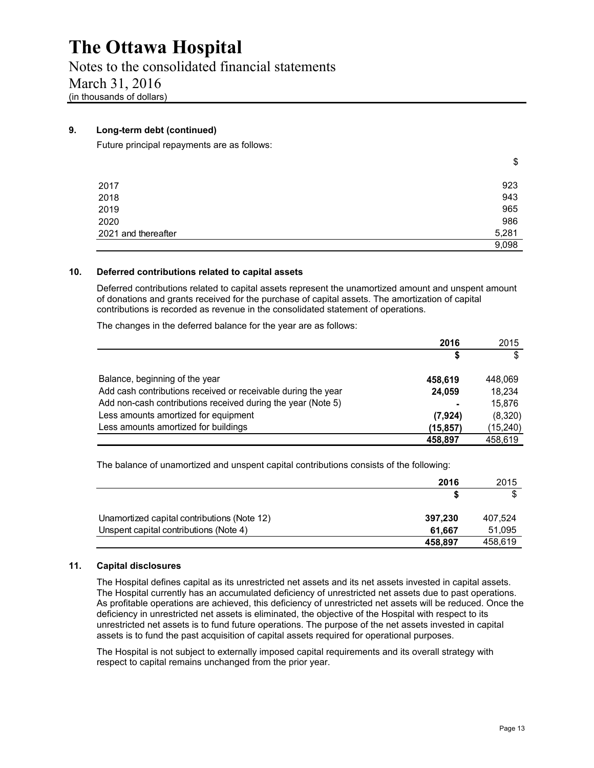Notes to the consolidated financial statements March 31, 2016 (in thousands of dollars)

#### **9. Long-term debt (continued)**

Future principal repayments are as follows:

|                     | \$    |
|---------------------|-------|
|                     |       |
| 2017                | 923   |
| 2018                | 943   |
| 2019                | 965   |
| 2020                | 986   |
| 2021 and thereafter | 5,281 |
|                     | 9,098 |

#### **10. Deferred contributions related to capital assets**

Deferred contributions related to capital assets represent the unamortized amount and unspent amount of donations and grants received for the purchase of capital assets. The amortization of capital contributions is recorded as revenue in the consolidated statement of operations.

The changes in the deferred balance for the year are as follows:

|                                                               | 2016      | 2015      |
|---------------------------------------------------------------|-----------|-----------|
|                                                               |           | \$        |
| Balance, beginning of the year                                | 458,619   | 448,069   |
| Add cash contributions received or receivable during the year | 24,059    | 18,234    |
| Add non-cash contributions received during the year (Note 5)  |           | 15.876    |
| Less amounts amortized for equipment                          | (7, 924)  | (8,320)   |
| Less amounts amortized for buildings                          | (15, 857) | (15, 240) |
|                                                               | 458,897   | 458,619   |

The balance of unamortized and unspent capital contributions consists of the following:

|                                             | 2016    | 2015    |
|---------------------------------------------|---------|---------|
|                                             |         |         |
| Unamortized capital contributions (Note 12) | 397,230 | 407.524 |
| Unspent capital contributions (Note 4)      | 61.667  | 51,095  |
|                                             | 458,897 | 458,619 |

#### **11. Capital disclosures**

The Hospital defines capital as its unrestricted net assets and its net assets invested in capital assets. The Hospital currently has an accumulated deficiency of unrestricted net assets due to past operations. As profitable operations are achieved, this deficiency of unrestricted net assets will be reduced. Once the deficiency in unrestricted net assets is eliminated, the objective of the Hospital with respect to its unrestricted net assets is to fund future operations. The purpose of the net assets invested in capital assets is to fund the past acquisition of capital assets required for operational purposes.

The Hospital is not subject to externally imposed capital requirements and its overall strategy with respect to capital remains unchanged from the prior year.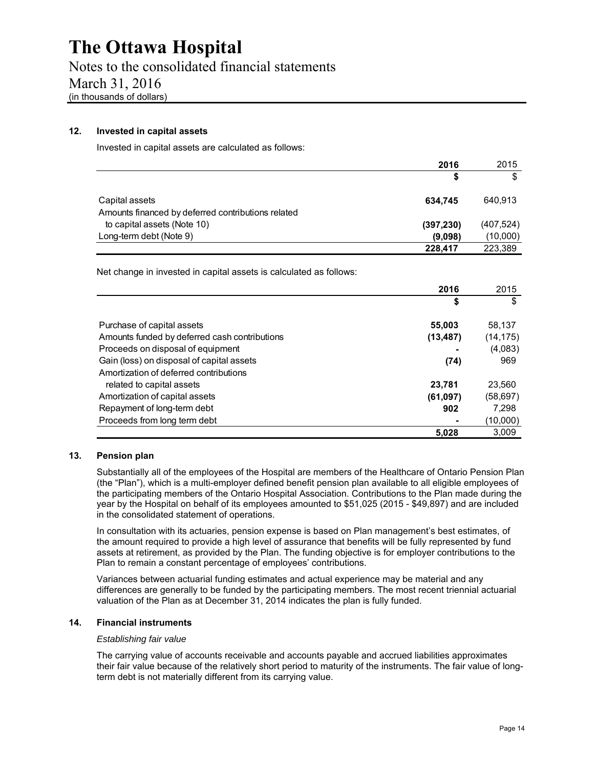Notes to the consolidated financial statements March 31, 2016 (in thousands of dollars)

#### **12. Invested in capital assets**

Invested in capital assets are calculated as follows:

|                                                                      | 2016       | 2015       |
|----------------------------------------------------------------------|------------|------------|
|                                                                      | S          | \$         |
| Capital assets<br>Amounts financed by deferred contributions related | 634.745    | 640.913    |
| to capital assets (Note 10)                                          | (397, 230) | (407, 524) |
| Long-term debt (Note 9)                                              | (9,098)    | (10,000)   |
|                                                                      | 228,417    | 223.389    |

Net change in invested in capital assets is calculated as follows:

|                                               | 2016      | 2015      |
|-----------------------------------------------|-----------|-----------|
|                                               | \$        | \$        |
| Purchase of capital assets                    | 55,003    | 58,137    |
| Amounts funded by deferred cash contributions | (13, 487) | (14, 175) |
| Proceeds on disposal of equipment             |           | (4,083)   |
| Gain (loss) on disposal of capital assets     | (74)      | 969       |
| Amortization of deferred contributions        |           |           |
| related to capital assets                     | 23,781    | 23.560    |
| Amortization of capital assets                | (61,097)  | (58,697)  |
| Repayment of long-term debt                   | 902       | 7.298     |
| Proceeds from long term debt                  |           | (10,000)  |
|                                               | 5,028     | 3.009     |

#### **13. Pension plan**

Substantially all of the employees of the Hospital are members of the Healthcare of Ontario Pension Plan (the "Plan"), which is a multi-employer defined benefit pension plan available to all eligible employees of the participating members of the Ontario Hospital Association. Contributions to the Plan made during the year by the Hospital on behalf of its employees amounted to \$51,025 (2015 - \$49,897) and are included in the consolidated statement of operations.

In consultation with its actuaries, pension expense is based on Plan management's best estimates, of the amount required to provide a high level of assurance that benefits will be fully represented by fund assets at retirement, as provided by the Plan. The funding objective is for employer contributions to the Plan to remain a constant percentage of employees' contributions.

Variances between actuarial funding estimates and actual experience may be material and any differences are generally to be funded by the participating members. The most recent triennial actuarial valuation of the Plan as at December 31, 2014 indicates the plan is fully funded.

#### **14. Financial instruments**

#### *Establishing fair value*

The carrying value of accounts receivable and accounts payable and accrued liabilities approximates their fair value because of the relatively short period to maturity of the instruments. The fair value of longterm debt is not materially different from its carrying value.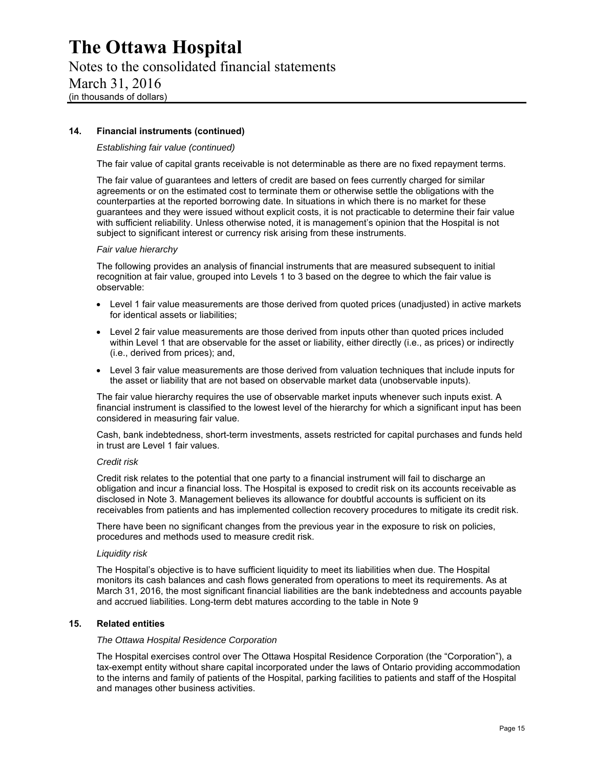Notes to the consolidated financial statements March 31, 2016 (in thousands of dollars)

#### **14. Financial instruments (continued)**

#### *Establishing fair value (continued)*

The fair value of capital grants receivable is not determinable as there are no fixed repayment terms.

The fair value of guarantees and letters of credit are based on fees currently charged for similar agreements or on the estimated cost to terminate them or otherwise settle the obligations with the counterparties at the reported borrowing date. In situations in which there is no market for these guarantees and they were issued without explicit costs, it is not practicable to determine their fair value with sufficient reliability. Unless otherwise noted, it is management's opinion that the Hospital is not subject to significant interest or currency risk arising from these instruments.

#### *Fair value hierarchy*

The following provides an analysis of financial instruments that are measured subsequent to initial recognition at fair value, grouped into Levels 1 to 3 based on the degree to which the fair value is observable:

- Level 1 fair value measurements are those derived from quoted prices (unadjusted) in active markets for identical assets or liabilities;
- Level 2 fair value measurements are those derived from inputs other than quoted prices included within Level 1 that are observable for the asset or liability, either directly (i.e., as prices) or indirectly (i.e., derived from prices); and,
- Level 3 fair value measurements are those derived from valuation techniques that include inputs for the asset or liability that are not based on observable market data (unobservable inputs).

The fair value hierarchy requires the use of observable market inputs whenever such inputs exist. A financial instrument is classified to the lowest level of the hierarchy for which a significant input has been considered in measuring fair value.

Cash, bank indebtedness, short-term investments, assets restricted for capital purchases and funds held in trust are Level 1 fair values.

#### *Credit risk*

Credit risk relates to the potential that one party to a financial instrument will fail to discharge an obligation and incur a financial loss. The Hospital is exposed to credit risk on its accounts receivable as disclosed in Note 3. Management believes its allowance for doubtful accounts is sufficient on its receivables from patients and has implemented collection recovery procedures to mitigate its credit risk.

There have been no significant changes from the previous year in the exposure to risk on policies, procedures and methods used to measure credit risk.

#### *Liquidity risk*

The Hospital's objective is to have sufficient liquidity to meet its liabilities when due. The Hospital monitors its cash balances and cash flows generated from operations to meet its requirements. As at March 31, 2016, the most significant financial liabilities are the bank indebtedness and accounts payable and accrued liabilities. Long-term debt matures according to the table in Note 9

#### **15. Related entities**

#### *The Ottawa Hospital Residence Corporation*

The Hospital exercises control over The Ottawa Hospital Residence Corporation (the "Corporation"), a tax-exempt entity without share capital incorporated under the laws of Ontario providing accommodation to the interns and family of patients of the Hospital, parking facilities to patients and staff of the Hospital and manages other business activities.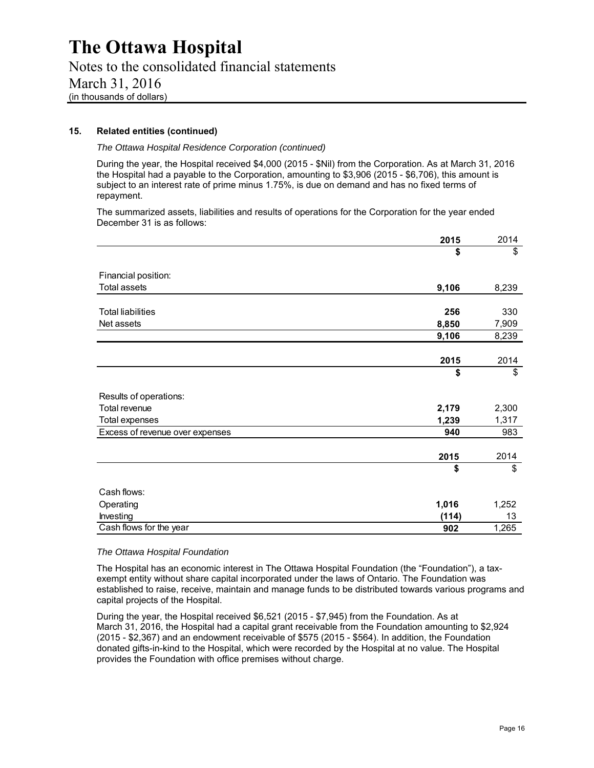Notes to the consolidated financial statements March 31, 2016 (in thousands of dollars)

#### **15. Related entities (continued)**

*The Ottawa Hospital Residence Corporation (continued)* 

During the year, the Hospital received \$4,000 (2015 - \$Nil) from the Corporation. As at March 31, 2016 the Hospital had a payable to the Corporation, amounting to \$3,906 (2015 - \$6,706), this amount is subject to an interest rate of prime minus 1.75%, is due on demand and has no fixed terms of repayment.

The summarized assets, liabilities and results of operations for the Corporation for the year ended December 31 is as follows:

|                                 | 2015  | 2014  |
|---------------------------------|-------|-------|
|                                 | \$    | \$    |
|                                 |       |       |
| Financial position:             |       |       |
| <b>Total assets</b>             | 9,106 | 8,239 |
|                                 |       |       |
| <b>Total liabilities</b>        | 256   | 330   |
| Net assets                      | 8,850 | 7,909 |
|                                 | 9,106 | 8,239 |
|                                 |       |       |
|                                 | 2015  | 2014  |
|                                 | \$    | \$    |
| Results of operations:          |       |       |
| Total revenue                   | 2,179 | 2,300 |
| <b>Total expenses</b>           | 1,239 | 1,317 |
| Excess of revenue over expenses | 940   | 983   |
|                                 |       |       |
|                                 | 2015  | 2014  |
|                                 | \$    | \$    |
| Cash flows:                     |       |       |
| Operating                       | 1,016 | 1,252 |
| Investing                       | (114) | 13    |
| Cash flows for the year         | 902   | 1,265 |

#### *The Ottawa Hospital Foundation*

The Hospital has an economic interest in The Ottawa Hospital Foundation (the "Foundation"), a taxexempt entity without share capital incorporated under the laws of Ontario. The Foundation was established to raise, receive, maintain and manage funds to be distributed towards various programs and capital projects of the Hospital.

During the year, the Hospital received \$6,521 (2015 - \$7,945) from the Foundation. As at March 31, 2016, the Hospital had a capital grant receivable from the Foundation amounting to \$2,924 (2015 - \$2,367) and an endowment receivable of \$575 (2015 - \$564). In addition, the Foundation donated gifts-in-kind to the Hospital, which were recorded by the Hospital at no value. The Hospital provides the Foundation with office premises without charge.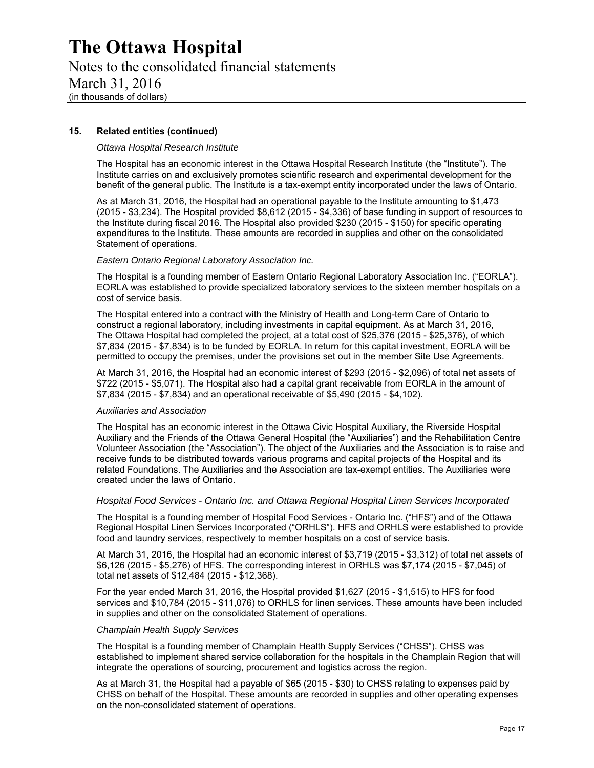Notes to the consolidated financial statements March 31, 2016 (in thousands of dollars)

#### **15. Related entities (continued)**

#### *Ottawa Hospital Research Institute*

The Hospital has an economic interest in the Ottawa Hospital Research Institute (the "Institute"). The Institute carries on and exclusively promotes scientific research and experimental development for the benefit of the general public. The Institute is a tax-exempt entity incorporated under the laws of Ontario.

As at March 31, 2016, the Hospital had an operational payable to the Institute amounting to \$1,473 (2015 - \$3,234). The Hospital provided \$8,612 (2015 - \$4,336) of base funding in support of resources to the Institute during fiscal 2016. The Hospital also provided \$230 (2015 - \$150) for specific operating expenditures to the Institute. These amounts are recorded in supplies and other on the consolidated Statement of operations.

#### *Eastern Ontario Regional Laboratory Association Inc.*

The Hospital is a founding member of Eastern Ontario Regional Laboratory Association Inc. ("EORLA"). EORLA was established to provide specialized laboratory services to the sixteen member hospitals on a cost of service basis.

The Hospital entered into a contract with the Ministry of Health and Long-term Care of Ontario to construct a regional laboratory, including investments in capital equipment. As at March 31, 2016, The Ottawa Hospital had completed the project, at a total cost of \$25,376 (2015 - \$25,376), of which \$7,834 (2015 - \$7,834) is to be funded by EORLA. In return for this capital investment, EORLA will be permitted to occupy the premises, under the provisions set out in the member Site Use Agreements.

At March 31, 2016, the Hospital had an economic interest of \$293 (2015 - \$2,096) of total net assets of \$722 (2015 - \$5,071). The Hospital also had a capital grant receivable from EORLA in the amount of \$7,834 (2015 - \$7,834) and an operational receivable of \$5,490 (2015 - \$4,102).

#### *Auxiliaries and Association*

The Hospital has an economic interest in the Ottawa Civic Hospital Auxiliary, the Riverside Hospital Auxiliary and the Friends of the Ottawa General Hospital (the "Auxiliaries") and the Rehabilitation Centre Volunteer Association (the "Association"). The object of the Auxiliaries and the Association is to raise and receive funds to be distributed towards various programs and capital projects of the Hospital and its related Foundations. The Auxiliaries and the Association are tax-exempt entities. The Auxiliaries were created under the laws of Ontario.

#### *Hospital Food Services - Ontario Inc. and Ottawa Regional Hospital Linen Services Incorporated*

The Hospital is a founding member of Hospital Food Services - Ontario Inc. ("HFS") and of the Ottawa Regional Hospital Linen Services Incorporated ("ORHLS"). HFS and ORHLS were established to provide food and laundry services, respectively to member hospitals on a cost of service basis.

At March 31, 2016, the Hospital had an economic interest of \$3,719 (2015 - \$3,312) of total net assets of \$6,126 (2015 - \$5,276) of HFS. The corresponding interest in ORHLS was \$7,174 (2015 - \$7,045) of total net assets of \$12,484 (2015 - \$12,368).

For the year ended March 31, 2016, the Hospital provided \$1,627 (2015 - \$1,515) to HFS for food services and \$10,784 (2015 - \$11,076) to ORHLS for linen services. These amounts have been included in supplies and other on the consolidated Statement of operations.

#### *Champlain Health Supply Services*

The Hospital is a founding member of Champlain Health Supply Services ("CHSS"). CHSS was established to implement shared service collaboration for the hospitals in the Champlain Region that will integrate the operations of sourcing, procurement and logistics across the region.

As at March 31, the Hospital had a payable of \$65 (2015 - \$30) to CHSS relating to expenses paid by CHSS on behalf of the Hospital. These amounts are recorded in supplies and other operating expenses on the non-consolidated statement of operations.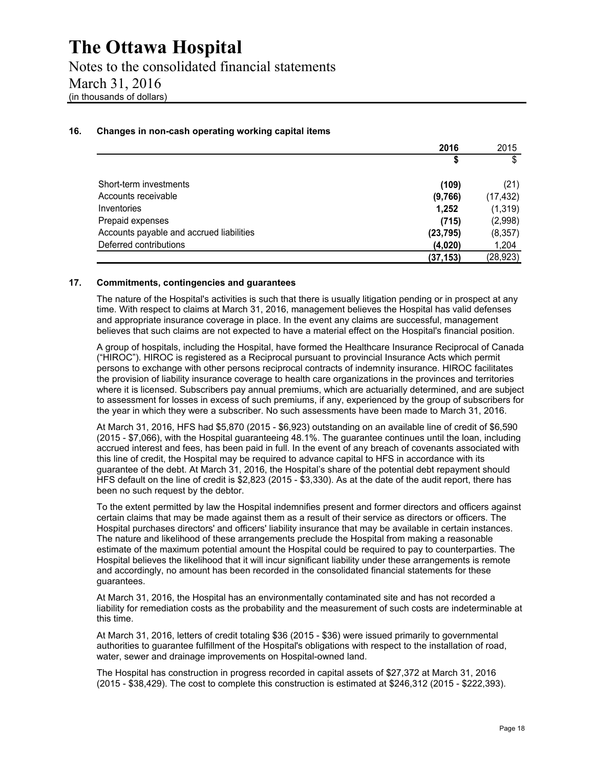Notes to the consolidated financial statements March 31, 2016 (in thousands of dollars)

#### **16. Changes in non-cash operating working capital items**

|                                          | 2016      | 2015      |
|------------------------------------------|-----------|-----------|
|                                          | \$        | \$        |
| Short-term investments                   | (109)     | (21)      |
| Accounts receivable                      | (9,766)   | (17, 432) |
| Inventories                              | 1,252     | (1, 319)  |
| Prepaid expenses                         | (715)     | (2,998)   |
| Accounts payable and accrued liabilities | (23, 795) | (8,357)   |
| Deferred contributions                   | (4,020)   | 1,204     |
|                                          | (37, 153) | (28, 923) |

#### **17. Commitments, contingencies and guarantees**

The nature of the Hospital's activities is such that there is usually litigation pending or in prospect at any time. With respect to claims at March 31, 2016, management believes the Hospital has valid defenses and appropriate insurance coverage in place. In the event any claims are successful, management believes that such claims are not expected to have a material effect on the Hospital's financial position.

A group of hospitals, including the Hospital, have formed the Healthcare Insurance Reciprocal of Canada ("HIROC"). HIROC is registered as a Reciprocal pursuant to provincial Insurance Acts which permit persons to exchange with other persons reciprocal contracts of indemnity insurance. HIROC facilitates the provision of liability insurance coverage to health care organizations in the provinces and territories where it is licensed. Subscribers pay annual premiums, which are actuarially determined, and are subject to assessment for losses in excess of such premiums, if any, experienced by the group of subscribers for the year in which they were a subscriber. No such assessments have been made to March 31, 2016.

At March 31, 2016, HFS had \$5,870 (2015 - \$6,923) outstanding on an available line of credit of \$6,590 (2015 - \$7,066), with the Hospital guaranteeing 48.1%. The guarantee continues until the loan, including accrued interest and fees, has been paid in full. In the event of any breach of covenants associated with this line of credit, the Hospital may be required to advance capital to HFS in accordance with its guarantee of the debt. At March 31, 2016, the Hospital's share of the potential debt repayment should HFS default on the line of credit is \$2,823 (2015 - \$3,330). As at the date of the audit report, there has been no such request by the debtor.

To the extent permitted by law the Hospital indemnifies present and former directors and officers against certain claims that may be made against them as a result of their service as directors or officers. The Hospital purchases directors' and officers' liability insurance that may be available in certain instances. The nature and likelihood of these arrangements preclude the Hospital from making a reasonable estimate of the maximum potential amount the Hospital could be required to pay to counterparties. The Hospital believes the likelihood that it will incur significant liability under these arrangements is remote and accordingly, no amount has been recorded in the consolidated financial statements for these guarantees.

At March 31, 2016, the Hospital has an environmentally contaminated site and has not recorded a liability for remediation costs as the probability and the measurement of such costs are indeterminable at this time.

At March 31, 2016, letters of credit totaling \$36 (2015 - \$36) were issued primarily to governmental authorities to guarantee fulfillment of the Hospital's obligations with respect to the installation of road, water, sewer and drainage improvements on Hospital-owned land.

The Hospital has construction in progress recorded in capital assets of \$27,372 at March 31, 2016 (2015 - \$38,429). The cost to complete this construction is estimated at \$246,312 (2015 - \$222,393).